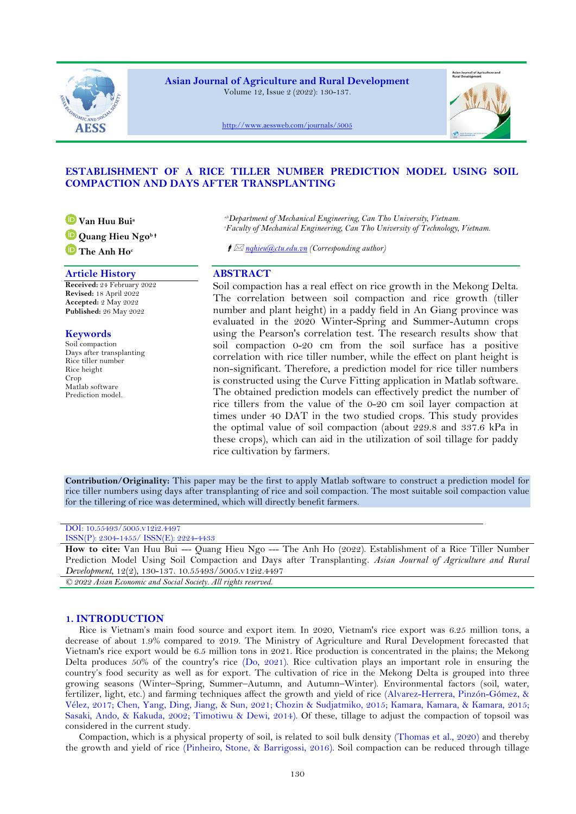

**Asian Journal of Agriculture and Rural Development** Volume 12, Issue 2 (2022): 130-137.

<http://www.aessweb.com/journals/5005>

# **ESTABLISHMENT OF A RICE TILLER NUMBER PREDICTION MODEL USING SOIL COMPACTION AND DAYS AFTER TRANSPLANTING**

**Van Huu Bui<sup>a</sup>**

**Quang Hieu Ngo<sup>b</sup>**

**The Anh Ho<sup>c</sup>**

## **Article History ABSTRACT**

**Received:** 24 February 2022 **Revised:** 18 April 2022 **Accepted:** 2 May 2022 **Published:** 26 May 2022

## **Keywords**

Soil compaction Days after transplanting Rice tiller number Rice height **Crop** Matlab software Prediction model.

*a,bDepartment of Mechanical Engineering, Can Tho University, Vietnam. <sup>c</sup>Faculty of Mechanical Engineering, Can Tho University of Technology, Vietnam.*

*nqhieu@ctu.edu.vn (Corresponding author)*

Soil compaction has a real effect on rice growth in the Mekong Delta. The correlation between soil compaction and rice growth (tiller number and plant height) in a paddy field in An Giang province was evaluated in the 2020 Winter-Spring and Summer-Autumn crops using the Pearson's correlation test. The research results show that soil compaction 0-20 cm from the soil surface has a positive correlation with rice tiller number, while the effect on plant height is non-significant. Therefore, a prediction model for rice tiller numbers is constructed using the Curve Fitting application in Matlab software. The obtained prediction models can effectively predict the number of rice tillers from the value of the 0-20 cm soil layer compaction at times under 40 DAT in the two studied crops. This study provides the optimal value of soil compaction (about 229.8 and 337.6 kPa in these crops), which can aid in the utilization of soil tillage for paddy rice cultivation by farmers.

**Contribution/Originality:** This paper may be the first to apply Matlab software to construct a prediction model for rice tiller numbers using days after transplanting of rice and soil compaction. The most suitable soil compaction value for the tillering of rice was determined, which will directly benefit farmers.

## DOI: 10.55493/5005.v12i2.4497 ISSN(P): 2304-1455/ ISSN(E): 2224-4433

**How to cite:** Van Huu Bui --- Quang Hieu Ngo --- The Anh Ho (2022). Establishment of a Rice Tiller Number Prediction Model Using Soil Compaction and Days after Transplanting. *Asian Journal of Agriculture and Rural Development*, 12(2), 130-137. 10.55493/5005.v12i2.4497 *© 2022 Asian Economic and Social Society. All rights reserved.*

# **1. INTRODUCTION**

Rice is Vietnam's main food source and export item. In 2020, Vietnam's rice export was 6.25 million tons, a decrease of about 1.9% compared to 2019. The Ministry of Agriculture and Rural Development forecasted that Vietnam's rice export would be 6.5 million tons in 2021. Rice production is concentrated in the plains; the Mekong Delta produces 50% of the country's rice [\(Do, 2021\)](#page-6-0). Rice cultivation plays an important role in ensuring the country's food security as well as for export. The cultivation of rice in the Mekong Delta is grouped into three growing seasons (Winter–Spring, Summer–Autumn, and Autumn–Winter). Environmental factors (soil, water, fertilizer, light, etc.) and farming techniques affect the growth and yield of rice [\(Alvarez-Herrera, Pinzón-Gómez, &](#page-6-1)  [Vélez, 2017;](#page-6-1) [Chen, Yang, Ding, Jiang, & Sun, 2021;](#page-6-2) [Chozin & Sudjatmiko, 2015;](#page-6-3) [Kamara, Kamara, & Kamara, 2015;](#page-7-0) [Sasaki, Ando, & Kakuda, 2002;](#page-7-1) [Timotiwu & Dewi, 2014\)](#page-7-2). Of these, tillage to adjust the compaction of topsoil was considered in the current study.

Compaction, which is a physical property of soil, is related to soil bulk density [\(Thomas et al., 2020\)](#page-7-3) and thereby the growth and yield of rice [\(Pinheiro, Stone, & Barrigossi, 2016\)](#page-7-4). Soil compaction can be reduced through tillage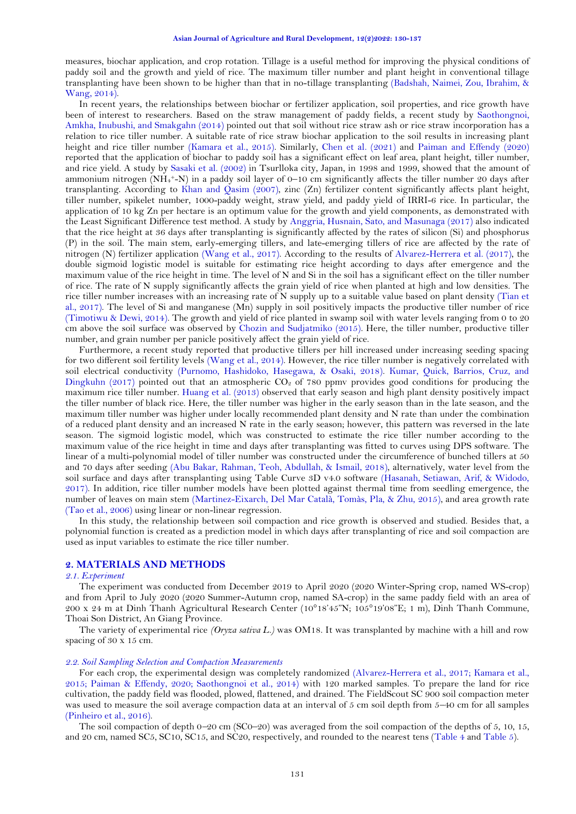measures, biochar application, and crop rotation. Tillage is a useful method for improving the physical conditions of paddy soil and the growth and yield of rice. The maximum tiller number and plant height in conventional tillage transplanting have been shown to be higher than that in no-tillage transplanting [\(Badshah, Naimei, Zou, Ibrahim, &](#page-6-4)  [Wang, 2014\)](#page-6-4).

In recent years, the relationships between biochar or fertilizer application, soil properties, and rice growth have been of interest to researchers. Based on the straw management of paddy fields, a recent study by [Saothongnoi,](#page-7-5)  [Amkha, Inubushi, and Smakgahn \(2014\)](#page-7-5) pointed out that soil without rice straw ash or rice straw incorporation has a relation to rice tiller number. A suitable rate of rice straw biochar application to the soil results in increasing plant height and rice tiller number [\(Kamara et al., 2015\)](#page-7-0). Similarly, [Chen et al. \(2021\)](#page-6-2) and [Paiman and Effendy \(2020\)](#page-7-6) reported that the application of biochar to paddy soil has a significant effect on leaf area, plant height, tiller number, and rice yield. A study by [Sasaki et al. \(2002\)](#page-7-1) in Tsurlloka city, Japan, in 1998 and 1999, showed that the amount of ammonium nitrogen (NH<sup>4</sup> <sup>+</sup>-N) in a paddy soil layer of 0–10 cm significantly affects the tiller number 20 days after transplanting. According to [Khan and Qasim \(2007\)](#page-7-7), zinc (Zn) fertilizer content significantly affects plant height, tiller number, spikelet number, 1000-paddy weight, straw yield, and paddy yield of IRRI-6 rice. In particular, the application of 10 kg Zn per hectare is an optimum value for the growth and yield components, as demonstrated with the Least Significant Difference test method. A study by [Anggria, Husnain, Sato, and Masunaga \(2017\)](#page-6-5) also indicated that the rice height at 36 days after transplanting is significantly affected by the rates of silicon (Si) and phosphorus (P) in the soil. The main stem, early-emerging tillers, and late-emerging tillers of rice are affected by the rate of nitrogen (N) fertilizer application [\(Wang et al., 2017\)](#page-7-8). According to the results of [Alvarez-Herrera et al. \(2017\)](#page-6-1), the double sigmoid logistic model is suitable for estimating rice height according to days after emergence and the maximum value of the rice height in time. The level of N and Si in the soil has a significant effect on the tiller number of rice. The rate of N supply significantly affects the grain yield of rice when planted at high and low densities. The rice tiller number increases with an increasing rate of N supply up to a suitable value based on plant density [\(Tian et](#page-7-9)  [al., 2017\)](#page-7-9). The level of Si and manganese (Mn) supply in soil positively impacts the productive tiller number of rice [\(Timotiwu & Dewi, 2014\)](#page-7-2). The growth and yield of rice planted in swamp soil with water levels ranging from 0 to 20 cm above the soil surface was observed by [Chozin and Sudjatmiko \(2015\)](#page-6-3). Here, the tiller number, productive tiller number, and grain number per panicle positively affect the grain yield of rice.

Furthermore, a recent study reported that productive tillers per hill increased under increasing seeding spacing for two different soil fertility levels [\(Wang et al., 2014\)](#page-7-10). However, the rice tiller number is negatively correlated with soil electrical conductivity [\(Purnomo, Hashidoko, Hasegawa, & Osaki, 2018\)](#page-7-11). [Kumar, Quick, Barrios, Cruz, and](#page-7-12)  [Dingkuhn \(2017\)](#page-7-12) pointed out that an atmospheric  $CO<sub>2</sub>$  of 780 ppmv provides good conditions for producing the maximum rice tiller number. [Huang et al. \(2013\)](#page-7-13) observed that early season and high plant density positively impact the tiller number of black rice. Here, the tiller number was higher in the early season than in the late season, and the maximum tiller number was higher under locally recommended plant density and N rate than under the combination of a reduced plant density and an increased N rate in the early season; however, this pattern was reversed in the late season. The sigmoid logistic model, which was constructed to estimate the rice tiller number according to the maximum value of the rice height in time and days after transplanting was fitted to curves using DPS software. The linear of a multi-polynomial model of tiller number was constructed under the circumference of bunched tillers at 50 and 70 days after seeding [\(Abu Bakar, Rahman, Teoh, Abdullah, & Ismail, 2018\)](#page-6-6), alternatively, water level from the soil surface and days after transplanting using Table Curve 3D v4.0 software [\(Hasanah, Setiawan, Arif, & Widodo,](#page-7-14)  [2017\)](#page-7-14). In addition, rice tiller number models have been plotted against thermal time from seedling emergence, the number of leaves on main stem [\(Martinez-Eixarch, Del Mar Català, Tomàs, Pla, & Zhu, 2015\)](#page-7-15), and area growth rate [\(Tao et al., 2006\)](#page-7-16) using linear or non-linear regression.

In this study, the relationship between soil compaction and rice growth is observed and studied. Besides that, a polynomial function is created as a prediction model in which days after transplanting of rice and soil compaction are used as input variables to estimate the rice tiller number.

# **2. MATERIALS AND METHODS**

## *2.1. Experiment*

The experiment was conducted from December 2019 to April 2020 (2020 Winter-Spring crop, named WS-crop) and from April to July 2020 (2020 Summer-Autumn crop, named SA-crop) in the same paddy field with an area of 200 x 24 m at Dinh Thanh Agricultural Research Center (10°18'45"N; 105°19'08"E; 1 m), Dinh Thanh Commune, Thoai Son District, An Giang Province.

The variety of experimental rice *(Oryza sativa L.)* was OM18. It was transplanted by machine with a hill and row spacing of 30 x 15 cm.

## *2.2. Soil Sampling Selection and Compaction Measurements*

For each crop, the experimental design was completely randomized [\(Alvarez-Herrera et al., 2017;](#page-6-1) [Kamara et al.,](#page-7-0)  [2015;](#page-7-0) [Paiman & Effendy, 2020;](#page-7-6) [Saothongnoi et al., 2014\)](#page-7-5) with 120 marked samples. To prepare the land for rice cultivation, the paddy field was flooded, plowed, flattened, and drained. The FieldScout SC 900 soil compaction meter was used to measure the soil average compaction data at an interval of 5 cm soil depth from 5–40 cm for all samples [\(Pinheiro et al., 2016\)](#page-7-4).

The soil compaction of depth 0–20 cm (SC0–20) was averaged from the soil compaction of the depths of 5, 10, 15, and 20 cm, named SC5, SC10, SC15, and SC20, respectively, and rounded to the nearest tens (Table 4 and Table 5).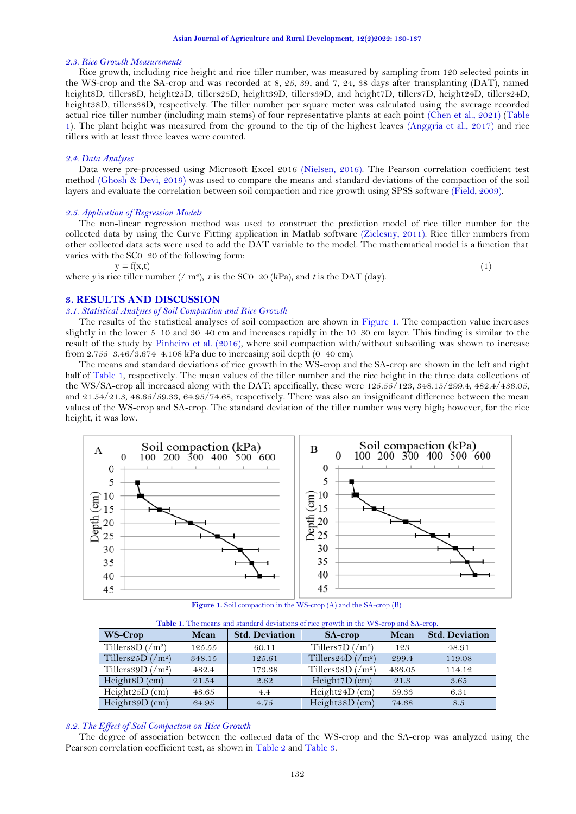#### *2.3. Rice Growth Measurements*

Rice growth, including rice height and rice tiller number, was measured by sampling from 120 selected points in the WS-crop and the SA-crop and was recorded at 8, 25, 39, and 7, 24, 38 days after transplanting (DAT), named height8D, tillers8D, height25D, tillers25D, height39D, tillers39D, and height7D, tillers7D, height24D, tillers24D, height38D, tillers38D, respectively. The tiller number per square meter was calculated using the average recorded actual rice tiller number (including main stems) of four representative plants at each point [\(Chen et al., 2021\)](#page-6-2) [\(Table](#page-2-0)  [1\)](#page-2-0)*.* The plant height was measured from the ground to the tip of the highest leaves [\(Anggria et al., 2017\)](#page-6-5) and rice tillers with at least three leaves were counted.

### *2.4. Data Analyses*

Data were pre-processed using Microsoft Excel 2016 [\(Nielsen, 2016\)](#page-7-17). The Pearson correlation coefficient test method [\(Ghosh & Devi, 2019\)](#page-7-18) was used to compare the means and standard deviations of the compaction of the soil layers and evaluate the correlation between soil compaction and rice growth using SPSS software [\(Field, 2009\)](#page-7-19).

#### *2.5. Application of Regression Models*

The non-linear regression method was used to construct the prediction model of rice tiller number for the collected data by using the Curve Fitting application in Matlab software [\(Zielesny, 2011\)](#page-7-20). Rice tiller numbers from other collected data sets were used to add the DAT variable to the model. The mathematical model is a function that varies with the SC0–20 of the following form:

 $y = f(x,t)$  (1)

where *y* is rice tiller number (/ m<sup>2</sup>), *x* is the SC0–20 (kPa), and *t* is the DAT (day).

# **3. RESULTS AND DISCUSSION**

## *3.1. Statistical Analyses of Soil Compaction and Rice Growth*

The results of the statistical analyses of soil compaction are shown in [Figure](#page-2-1) 1*.* The compaction value increases slightly in the lower 5–10 and 30–40 cm and increases rapidly in the 10–30 cm layer. This finding is similar to the result of the study by [Pinheiro et al. \(2016\)](#page-7-4), where soil compaction with/without subsoiling was shown to increase from 2.755–3.46/3.674–4.108 kPa due to increasing soil depth (0–40 cm).

The means and standard deviations of rice growth in the WS-crop and the SA-crop are shown in the left and right half of [Table 1,](#page-2-0) respectively. The mean values of the tiller number and the rice height in the three data collections of the WS/SA-crop all increased along with the DAT; specifically, these were 125.55/123, 348.15/299.4, 482.4/436.05, and 21.54/21.3, 48.65/59.33, 64.95/74.68, respectively. There was also an insignificant difference between the mean values of the WS-crop and SA-crop. The standard deviation of the tiller number was very high; however, for the rice height, it was low.



**Figure 1.** Soil compaction in the WS-crop (A) and the SA-crop (B).

**Table 1.** The means and standard deviations of rice growth in the WS-crop and SA-crop.

<span id="page-2-1"></span><span id="page-2-0"></span>

| WS-Crop                                    | Mean   | <b>Std. Deviation</b> | <b>SA-crop</b>                            | Mean   | <b>Std. Deviation</b> |  |
|--------------------------------------------|--------|-----------------------|-------------------------------------------|--------|-----------------------|--|
| Tillers 8D $\frac{\text{m}}{\text{m}^2}$   | 125.55 | 60.11                 | Tillers7D $\frac{1}{m^2}$                 | 123    | 48.91                 |  |
| Tillers 25D $\left(\frac{m^2}{m^2}\right)$ | 348.15 | 125.61                | Tillers24D $\left(\frac{m^2}{m^2}\right)$ | 299.4  | 119.08                |  |
| Tillers 39D $\frac{\gamma m^2}{2}$         | 482.4  | 173.38                | Tillers $85D/(m^2)$                       | 436.05 | 114.12                |  |
| HeightsD (cm)                              | 21.54  | 2.62                  | Height $7D$ (cm)                          | 21.3   | 3.65                  |  |
| Height $25D$ (cm)                          | 48.65  | 4.4                   | Height24D (cm)                            | 59.33  | 6.31                  |  |
| Height $39D$ (cm)                          | 64.95  | 4.75                  | Height38D (cm)                            | 74.68  | 8.5                   |  |

## *3.2. The Effect of Soil Compaction on Rice Growth*

The degree of association between the collected data of the WS-crop and the SA-crop was analyzed using the Pearson correlation coefficient test, as shown in [Table 2](#page-3-0) and [Table 3.](#page-3-1)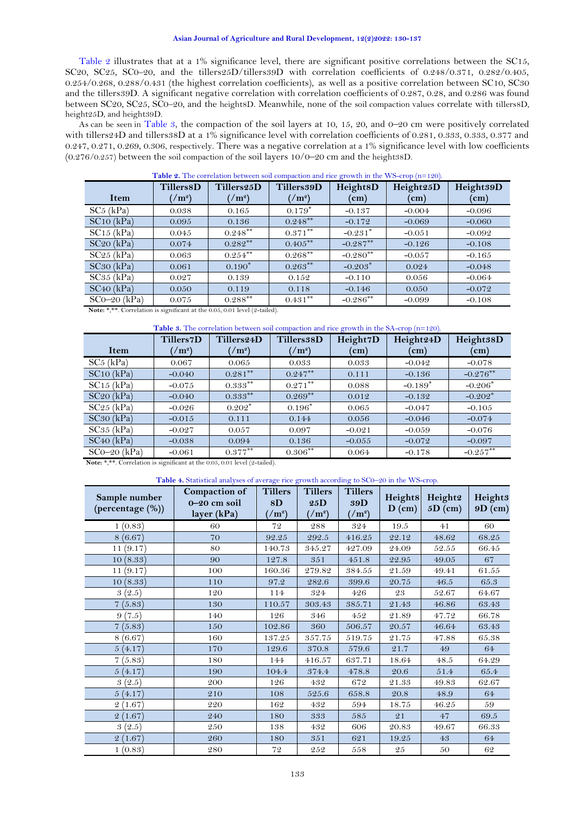## **Asian Journal of Agriculture and Rural Development, 12(2)2022: 130-137**

[Table 2](#page-3-0) illustrates that at a 1% significance level, there are significant positive correlations between the SC15, SC20, SC25, SC0–20, and the tillers25D/tillers39D with correlation coefficients of 0.248/0.371, 0.282/0.405, 0.254/0.268, 0.288/0.431 (the highest correlation coefficients), as well as a positive correlation between SC10, SC30 and the tillers39D. A significant negative correlation with correlation coefficients of 0.287, 0.28, and 0.286 was found between SC20, SC25, SC0-20, and the height8D. Meanwhile, none of the soil compaction values correlate with tillers8D, height25D, and height39D.

As can be seen in [Table 3,](#page-3-1) the compaction of the soil layers at 10, 15, 20, and  $0-20$  cm were positively correlated with tillers24D and tillers38D at a 1% significance level with correlation coefficients of 0.281, 0.333, 0.333, 0.377 and 0.247, 0.271, 0.269, 0.306, respectively. There was a negative correlation at a 1% significance level with low coefficients  $(0.276/0.257)$  between the soil compaction of the soil layers  $10/0-20$  cm and the heights8D.

Table 2. The correlation between soil compaction and rice growth in the WS-crop (n=120).

<span id="page-3-0"></span>

| Item           | Tillers8D<br>$\gamma$ m <sup>2</sup> ) | Tillers25D<br>$\gamma$ m <sup>2</sup> ) | Tillers39D<br>$1/m^2$ | Height8D<br>$\mathbf{(cm)}$ | Height25D<br>$\rm (cm)$ | Height39D<br>(cm) |
|----------------|----------------------------------------|-----------------------------------------|-----------------------|-----------------------------|-------------------------|-------------------|
|                |                                        |                                         |                       |                             |                         |                   |
| $SC5$ (kPa)    | 0.038                                  | 0.165                                   | $0.179*$              | $-0.137$                    | $-0.004$                | $-0.096$          |
| SC10 (kPa)     | 0.095                                  | 0.136                                   | $0.248***$            | $-0.172$                    | $-0.069$                | $-0.060$          |
| $SC15$ (kPa)   | 0.045                                  | $0.248***$                              | $0.371***$            | $-0.231*$                   | $-0.051$                | $-0.092$          |
| SC20 (kPa)     | 0.074                                  | $0.282***$                              | $0.405***$            | $-0.287***$                 | $-0.126$                | $-0.108$          |
| $SC25$ (kPa)   | 0.063                                  | $0.254***$                              | $0.268***$            | $-0.280$ <sup>**</sup>      | $-0.057$                | $-0.165$          |
| SC30 (kPa)     | 0.061                                  | $0.190*$                                | $0.263***$            | $-0.203*$                   | 0.024                   | $-0.048$          |
| $SC35$ (kPa)   | 0.027                                  | 0.139                                   | 0.152                 | $-0.110$                    | 0.056                   | $-0.064$          |
| SC40 (kPa)     | 0.050                                  | 0.119                                   | 0.118                 | $-0.146$                    | 0.050                   | $-0.072$          |
| $SCO-20$ (kPa) | 0.075                                  | $0.288***$                              | $0.431***$            | $-0.286**$                  | $-0.099$                | $-0.108$          |

Note: \*,\*\*. Correlation is significant at the 0.05, 0.01 level (2-tailed).

## Table 3. The correlation between soil compaction and rice growth in the SA-crop (n=120).

<span id="page-3-1"></span>

|                | <b>Tillers7D</b> | Tillers24D   | Tillers38D      | Height7D   | Height24D  | Height38D   |
|----------------|------------------|--------------|-----------------|------------|------------|-------------|
| Item           | $\frac{m^2}{2}$  | $1/m^2$      | $\frac{m^2}{2}$ | $\rm (cm)$ | $\rm (cm)$ | $\rm (cm)$  |
| $SC5$ (kPa)    | 0.067            | 0.065        | 0.033           | 0.033      | $-0.042$   | $-0.078$    |
| SC10 (kPa)     | $-0.040$         | $0.281***$   | $0.247***$      | 0.111      | $-0.136$   | $-0.276***$ |
| $SC15$ (kPa)   | $-0.075$         | $0.333***$   | $0.271***$      | 0.088      | $-0.189*$  | $-0.206*$   |
| SC20 (kPa)     | $-0.040$         | $0.333^{**}$ | $0.269***$      | 0.012      | $-0.132$   | $-0.202*$   |
| $SC25$ (kPa)   | $-0.026$         | $0.202*$     | $0.196*$        | 0.065      | $-0.047$   | $-0.105$    |
| SC30 (kPa)     | $-0.015$         | 0.111        | 0.144           | 0.056      | $-0.046$   | $-0.074$    |
| $SC35$ (kPa)   | $-0.027$         | 0.057        | 0.097           | $-0.021$   | $-0.059$   | $-0.076$    |
| $SC40$ (kPa)   | $-0.038$         | 0.094        | 0.136           | $-0.055$   | $-0.072$   | $-0.097$    |
| $SCO-20$ (kPa) | $-0.061$         | $0.377***$   | $0.306***$      | 0.064      | $-0.178$   | $-0.257**$  |

**Note:** \*.\*\*. Correlation is significant at the 0.05, 0.01 level (2-tailed).

## **Table 4.** Statistical analyses of average rice growth according to SC0–20 in the WS-crop.

<span id="page-3-2"></span>

| Sample number<br>(percentage (%)) | Compaction of<br>$0-20$ cm soil<br>layer (kPa) | <b>Tillers</b><br>8D<br>(m <sup>2</sup> ) | <b>Tillers</b><br>25D<br>$\frac{1}{2}$ | <b>Tillers</b><br>39D<br>$\frac{m^2}{2}$ | <b>Height8</b><br>$D$ (cm) | Height2<br>$5D$ (cm) | Height <sup>3</sup><br>$9D$ (cm) |
|-----------------------------------|------------------------------------------------|-------------------------------------------|----------------------------------------|------------------------------------------|----------------------------|----------------------|----------------------------------|
| 1(0.83)                           | 60                                             | 72                                        | 288                                    | 324                                      | 19.5                       | 41                   | 60                               |
| 8(6.67)                           | 70                                             | 92.25                                     | 292.5                                  | 416.25                                   | 22.12                      | 48.62                | 68.25                            |
| 11(9.17)                          | 80                                             | 140.73                                    | 345.27                                 | 427.09                                   | 24.09                      | 52.55                | 66.45                            |
| 10(8.33)                          | 90                                             | 127.8                                     | 351                                    | 451.8                                    | 22.95                      | 49.05                | 67                               |
| 11(9.17)                          | 100                                            | 160.36                                    | 279.82                                 | 384.55                                   | 21.59                      | 49.41                | 61.55                            |
| 10(8.33)                          | 110                                            | 97.2                                      | 282.6                                  | 399.6                                    | 20.75                      | 46.5                 | 65.3                             |
| 3(2.5)                            | 120                                            | 114                                       | 324                                    | 426                                      | 23                         | 52.67                | 64.67                            |
| 7(5.83)                           | 130                                            | 110.57                                    | 303.43                                 | 385.71                                   | 21.43                      | 46.86                | 63.43                            |
| 9(7.5)                            | 140                                            | 126                                       | 346                                    | 452                                      | 21.89                      | 47.72                | 66.78                            |
| 7(5.83)                           | 150                                            | 102.86                                    | 360                                    | 506.57                                   | 20.57                      | 46.64                | 63.43                            |
| 8(6.67)                           | 160                                            | 137.25                                    | 357.75                                 | 519.75                                   | 21.75                      | 47.88                | 65.38                            |
| 5(4.17)                           | 170                                            | 129.6                                     | 370.8                                  | 579.6                                    | 21.7                       | 49                   | 64                               |
| 7(5.83)                           | 180                                            | 144                                       | 416.57                                 | 637.71                                   | 18.64                      | 48.5                 | 64.29                            |
| 5(4.17)                           | 190                                            | 104.4                                     | 374.4                                  | 478.8                                    | 20.6                       | 51.4                 | 65.4                             |
| 3(2.5)                            | 200                                            | 126                                       | 432                                    | 672                                      | 21.33                      | 49.83                | 62.67                            |
| 5(4.17)                           | 210                                            | 108                                       | 525.6                                  | 658.8                                    | 20.8                       | 48.9                 | 64                               |
| 2(1.67)                           | 220                                            | 162                                       | 432                                    | 594                                      | 18.75                      | 46.25                | 59                               |
| 2(1.67)                           | 240                                            | 180                                       | 333                                    | 585                                      | 21                         | 47                   | 69.5                             |
| 3(2.5)                            | 250                                            | 138                                       | 432                                    | 606                                      | 20.83                      | 49.67                | 66.33                            |
| 2(1.67)                           | 260                                            | 180                                       | 351                                    | 621                                      | 19.25                      | 43                   | 64                               |
| 1(0.83)                           | 280                                            | 72                                        | 252                                    | 558                                      | 25                         | 50                   | 62                               |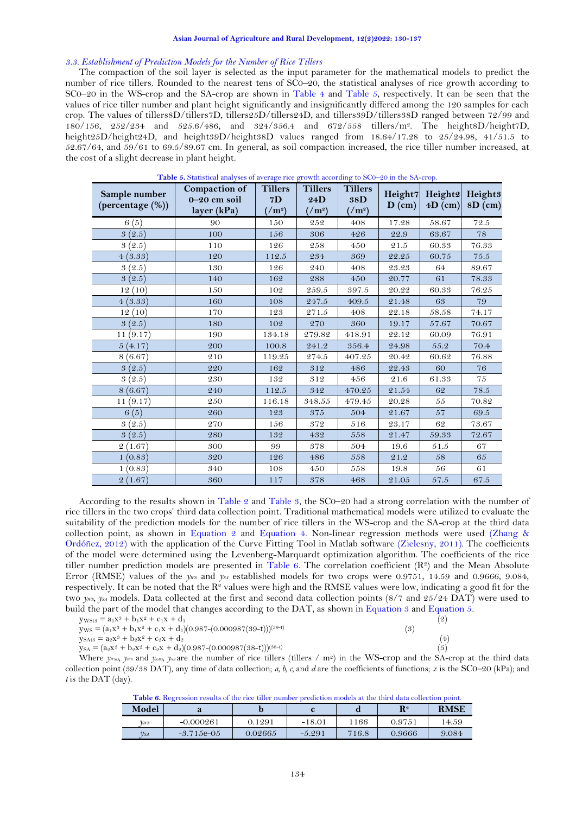### *3.3. Establishment of Prediction Models for the Number of Rice Tillers*

The compaction of the soil layer is selected as the input parameter for the mathematical models to predict the number of rice tillers. Rounded to the nearest tens of SC0–20, the statistical analyses of rice growth according to SC0–20 in the WS-crop and the SA-crop are shown in [Table 4](#page-3-2) and [Table 5,](#page-4-0) respectively. It can be seen that the values of rice tiller number and plant height significantly and insignificantly differed among the 120 samples for each crop. The values of tillers8D/tillers7D, tillers25D/tillers24D, and tillers39D/tillers38D ranged between 72/99 and 180/156, 252/234 and 525.6/486, and 324/356.4 and 672/558 tillers/m<sup>2</sup> . The height8D/height7D, height25D/height24D, and height39D/height38D values ranged from 18.64/17.28 to 25/24.98, 41/51.5 to 52.67/64, and 59/61 to 69.5/89.67 cm. In general, as soil compaction increased, the rice tiller number increased, at the cost of a slight decrease in plant height.

<span id="page-4-0"></span>

| Sample number<br>(percentage (%)) | Compaction of<br>$0-20$ cm soil<br>layer (kPa) | <b>Tillers</b><br>7D<br>$1/m^2$ | <b>Tillers</b><br>24D<br>$1/m^2$ | <b>Tillers</b><br>38D<br>$\rm \left(\right /m^{2}\right)$ | Height7<br>$D$ (cm) | Height2<br>$4D$ (cm) | Height <sub>3</sub><br>$8D$ (cm) |
|-----------------------------------|------------------------------------------------|---------------------------------|----------------------------------|-----------------------------------------------------------|---------------------|----------------------|----------------------------------|
| 6(5)                              | 90                                             | 150                             | 252                              | 408                                                       | 17.28               | 58.67                | 72.5                             |
| 3(2.5)                            | 100                                            | 156                             | 306                              | 426                                                       | 22.9                | 63.67                | 78                               |
| (2.5)<br>3                        | 110                                            | 126                             | 258                              | 450                                                       | 21.5                | 60.33                | 76.33                            |
| 4(3.33)                           | 120                                            | 112.5                           | 234                              | 369                                                       | 22.25               | 60.75                | 75.5                             |
| 3(2.5)                            | 130                                            | 126                             | 240                              | 408                                                       | 23.23               | 64                   | 89.67                            |
| 3(2.5)                            | 140                                            | 162                             | 288                              | 450                                                       | 20.77               | 61                   | 78.33                            |
| 12(10)                            | 150                                            | 102                             | 259.5                            | 397.5                                                     | 20.22               | 60.33                | 76.25                            |
| 4(3.33)                           | 160                                            | 108                             | 247.5                            | 409.5                                                     | 21.48               | 63                   | 79                               |
| 12(10)                            | 170                                            | 123                             | 271.5                            | 408                                                       | 22.18               | 58.58                | 74.17                            |
| 3(2.5)                            | 180                                            | 102                             | 270                              | 360                                                       | 19.17               | 57.67                | 70.67                            |
| (9.17)<br>11                      | 190                                            | 134.18                          | 279.82                           | 418.91                                                    | 22.12               | 60.09                | 76.91                            |
| 5(4.17)                           | 200                                            | 100.8                           | 241.2                            | 356.4                                                     | 24.98               | 55.2                 | 70.4                             |
| 8(6.67)                           | 210                                            | 119.25                          | 274.5                            | 407.25                                                    | 20.42               | 60.62                | 76.88                            |
| 3<br>(2.5)                        | 220                                            | 162                             | 312                              | 486                                                       | 22.43               | 60                   | 76                               |
| (2.5)<br>3                        | 230                                            | 132                             | 312                              | 456                                                       | 21.6                | 61.33                | 75                               |
| 8(6.67)                           | 240                                            | 112.5                           | 342                              | 470.25                                                    | 21.54               | 62                   | 78.5                             |
| (9.17)<br>11                      | 250                                            | 116.18                          | 348.55                           | 479.45                                                    | 20.28               | 55                   | 70.82                            |
| 6(5)                              | 260                                            | 123                             | 375                              | 504                                                       | 21.67               | 57                   | 69.5                             |
| 3(2.5)                            | 270                                            | 156                             | 372                              | 516                                                       | 23.17               | 62                   | 73.67                            |
| 3(2.5)                            | 280                                            | 132                             | 432                              | 558                                                       | 21.47               | 59.33                | 72.67                            |
| (1.67)<br>$\mathfrak{D}$          | 300                                            | 99                              | 378                              | 504                                                       | 19.6                | 51.5                 | 67                               |
| 1(0.83)                           | 320                                            | 126                             | 486                              | 558                                                       | 21.2                | 58                   | 65                               |
| 1(0.83)                           | 340                                            | 108                             | 450                              | 558                                                       | 19.8                | 56                   | 61                               |
| 2(1.67)                           | 360                                            | 117                             | 378                              | 468                                                       | 21.05               | 57.5                 | 67.5                             |

**Table 5.** Statistical analyses of average rice growth according to SC0–20 in the SA-crop.

<span id="page-4-3"></span><span id="page-4-1"></span>According to the results shown in [Table 2](#page-3-0) and [Table 3,](#page-3-1) the SC0–20 had a strong correlation with the number of rice tillers in the two crops' third data collection point. Traditional mathematical models were utilized to evaluate the suitability of the prediction models for the number of rice tillers in the WS-crop and the SA-crop at the third data collection point, as shown in [Equation](#page-4-1) 2 and Equation 4. Non-linear regression methods were used [\(Zhang &](#page-7-21)  [Ordóñez, 2012\)](#page-7-21) with the application of the Curve Fitting Tool in Matlab software [\(Zielesny, 2011\)](#page-7-20). The coefficients of the model were determined using the Levenberg-Marquardt optimization algorithm. The coefficients of the rice tiller number prediction models are presented in [Table 6.](#page-4-2) The correlation coefficient  $(R^2)$  and the Mean Absolute Error (RMSE) values of the *yws* and *y*<sub>*SA*</sub> established models for two crops were 0.9751, 14.59 and 0.9666, 9.084, respectively. It can be noted that the  $R^2$  values were high and the RMSE values were low, indicating a good fit for the two *y*<sub>*WS*</sub>, y<sub>*SA*</sub> models. Data collected at the first and second data collection points (8/7 and 25/24 DAT) were used to build the part of the model that changes according to the DAT, as shown in [Equation](#page-4-3) 3 an[d Equation 5](#page-4-4)*.*

<span id="page-4-4"></span>

| $y_{WSt3} = a_1x^3 + b_1x^2 + c_1x + d_1$                                                                                                                                  |     | $\overline{2}$ |
|----------------------------------------------------------------------------------------------------------------------------------------------------------------------------|-----|----------------|
| $y_{\rm WS} = (a_1x^3 + b_1x^2 + c_1x + d_1)(0.987-(0.000987(39-t)))^{(39-t)}$                                                                                             | (3) |                |
| $y_{\text{SAt3}} = a_2x^3 + b_2x^2 + c_2x + d_2$                                                                                                                           |     | (4)            |
| $ys_A = (a_2x^3 + b_2x^2 + c_2x + d_2)(0.987-(0.000987(38-t)))^{(38-t)}$                                                                                                   |     | (5)            |
| Where $y_{\text{wss}_2}$ , $y_{\text{w}}$ and $y_{\text{wss}_2}$ , $y_{\text{y}}$ are the number of rice tillers (tillers / m <sup>2</sup> ) in the WS-crop and the SA-cro |     |                |

<span id="page-4-2"></span>Where *yWSt3, yWS* and *ySAt3, ySA* are the number of rice tillers (tillers / m2) in the WS-crop and the SA-crop at the third data collection point (39/38 DAT), any time of data collection; *a, b, c,* and *d* are the coefficients of functions; *x* is the SC0*–*20 (kPa); and *t* is the DAT (day).

**Table 6.** Regression results of the rice tiller number prediction models at the third data collection point.

| Model      | u             |         |          | u     | $\mathbf{R}^2$ | <b>RMSE</b> |
|------------|---------------|---------|----------|-------|----------------|-------------|
| $Vw_s$     | $-0.000261$   | 0.1291  | $-18.01$ | 1166  | 0.9751         | 14.59       |
| $\nu_{SA}$ | $-3.715e-0.5$ | 0.02665 | $-5.291$ | 716.8 | 0.9666         | 9.084       |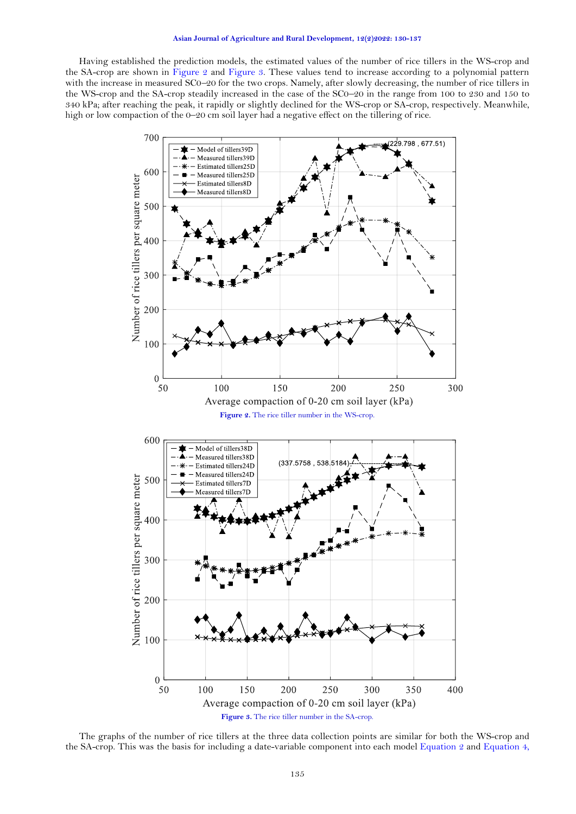## **Asian Journal of Agriculture and Rural Development, 12(2)2022: 130-137**

Having established the prediction models, the estimated values of the number of rice tillers in the WS-crop and the SA-crop are shown in [Figure](#page-5-0) 2 and [Figure](#page-5-1) 3. These values tend to increase according to a polynomial pattern with the increase in measured SC0–20 for the two crops. Namely, after slowly decreasing, the number of rice tillers in the WS-crop and the SA-crop steadily increased in the case of the SC0–20 in the range from 100 to 230 and 150 to 340 kPa; after reaching the peak, it rapidly or slightly declined for the WS-crop or SA-crop, respectively. Meanwhile, high or low compaction of the 0–20 cm soil layer had a negative effect on the tillering of rice.

<span id="page-5-0"></span>

<span id="page-5-1"></span>The graphs of the number of rice tillers at the three data collection points are similar for both the WS-crop and the SA-crop. This was the basis for including a date-variable component into each model [Equation](#page-4-1) 2 and Equation 4,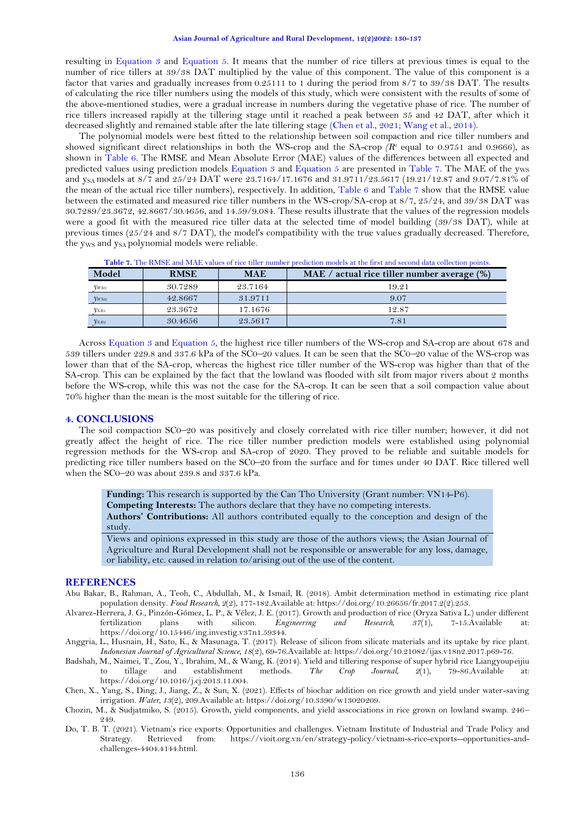resulting in [Equation](#page-4-3) 3 and [Equation 5.](#page-4-4) It means that the number of rice tillers at previous times is equal to the number of rice tillers at 39/38 DAT multiplied by the value of this component. The value of this component is a factor that varies and gradually increases from 0.25111 to 1 during the period from 8/7 to 39/38 DAT. The results of calculating the rice tiller numbers using the models of this study, which were consistent with the results of some of the above-mentioned studies, were a gradual increase in numbers during the vegetative phase of rice. The number of rice tillers increased rapidly at the tillering stage until it reached a peak between 35 and 42 DAT, after which it decreased slightly and remained stable after the late tillering stage [\(Chen et al., 2021;](#page-6-2) [Wang et al., 2014\)](#page-7-10).

The polynomial models were best fitted to the relationship between soil compaction and rice tiller numbers and showed significant direct relationships in both the WS-crop and the SA-crop  $(R^2 \text{ equal to } 0.9751 \text{ and } 0.9666)$ , as shown in [Table 6.](#page-4-2) The RMSE and Mean Absolute Error (MAE) values of the differences between all expected and predicted values using prediction models Equation 3 and Equation 5 are presented in [Table 7.](#page-6-7) The MAE of the yws and y<sub>SA</sub> models at 8/7 and 25/24 DAT were 23.7164/17.1676 and 31.9711/23.5617 (19.21/12.87 and 9.07/7.81% of the mean of the actual rice tiller numbers), respectively. In addition, [Table 6](#page-4-2) and [Table 7](#page-6-7) show that the RMSE value between the estimated and measured rice tiller numbers in the WS-crop/SA-crop at 8/7, 25/24, and 39/38 DAT was 30.7289/23.3672, 42.8667/30.4656, and 14.59/9.084. These results illustrate that the values of the regression models were a good fit with the measured rice tiller data at the selected time of model building (39/38 DAT), while at previous times (25/24 and 8/7 DAT), the model's compatibility with the true values gradually decreased. Therefore, the yws and ysa polynomial models were reliable.

<span id="page-6-7"></span>

| Model        | <b>RMSE</b> | <b>MAE</b> | MAE / actual rice tiller number average $(\%)$ |
|--------------|-------------|------------|------------------------------------------------|
| $y_{W\!S t}$ | 30.7289     | 23.7164    | 19.21                                          |
| VWSt2        | 42.8667     | 31.9711    | 9.07                                           |
| $V_{SAtI}$   | 23.3672     | 17.1676    | 12.87                                          |
| $y_{SAt2}$   | 30.4656     | 23.5617    | 7.81                                           |

**Table 7.** The RMSE and MAE values of rice tiller number prediction models at the first and second data collection points.

Across Equation 3 and Equation 5*,* the highest rice tiller numbers of the WS-crop and SA-crop are about 678 and 539 tillers under 229.8 and 337.6 kPa of the SC0*–*20 values. It can be seen that the SC0*–*20 value of the WS-crop was lower than that of the SA-crop, whereas the highest rice tiller number of the WS-crop was higher than that of the SA-crop. This can be explained by the fact that the lowland was flooded with silt from major rivers about 2 months before the WS-crop, while this was not the case for the SA-crop. It can be seen that a soil compaction value about 70% higher than the mean is the most suitable for the tillering of rice.

# **4. CONCLUSIONS**

The soil compaction SC0–20 was positively and closely correlated with rice tiller number; however, it did not greatly affect the height of rice. The rice tiller number prediction models were established using polynomial regression methods for the WS-crop and SA-crop of 2020. They proved to be reliable and suitable models for predicting rice tiller numbers based on the SC0–20 from the surface and for times under 40 DAT. Rice tillered well when the SC0–20 was about 239.8 and 337.6 kPa.

**Funding:** This research is supported by the Can Tho University (Grant number: VN14-P6). **Competing Interests:** The authors declare that they have no competing interests. **Authors' Contributions:** All authors contributed equally to the conception and design of the study.

Views and opinions expressed in this study are those of the authors views; the Asian Journal of Agriculture and Rural Development shall not be responsible or answerable for any loss, damage, or liability, etc. caused in relation to/arising out of the use of the content.

## **REFERENCES**

- <span id="page-6-6"></span>Abu Bakar, B., Rahman, A., Teoh, C., Abdullah, M., & Ismail, R. (2018). Ambit determination method in estimating rice plant population density. *Food Research, 2*(2), 177-182.Available at: https://doi.org/10.26656/fr.2017.2(2).253.
- <span id="page-6-1"></span>Alvarez-Herrera, J. G., Pinzón-Gómez, L. P., & Vélez, J. E. (2017). Growth and production of rice (Oryza Sativa L.) under different fertilization plans with silicon. *Engineering and Research, 37*(1), 7-15.Available at: https://doi.org/10.15446/ing.investig.v37n1.59344.
- <span id="page-6-5"></span>Anggria, L., Husnain, H., Sato, K., & Masunaga, T. (2017). Release of silicon from silicate materials and its uptake by rice plant. *Indonesian Journal of Agricultural Science, 18*(2), 69-76.Available at: https://doi.org/10.21082/ijas.v18n2.2017.p69-76.
- <span id="page-6-4"></span>Badshah, M., Naimei, T., Zou, Y., Ibrahim, M., & Wang, K. (2014). Yield and tillering response of super hybrid rice Liangyoupeijiu to tillage and establishment methods. *The Crop Journal, 2*(1), 79-86.Available at: https://doi.org/10.1016/j.cj.2013.11.004.
- <span id="page-6-2"></span>Chen, X., Yang, S., Ding, J., Jiang, Z., & Sun, X. (2021). Effects of biochar addition on rice growth and yield under water-saving irrigation. *Water, 13*(2), 209.Available at: https://doi.org/10.3390/w13020209.
- <span id="page-6-3"></span>Chozin, M., & Sudjatmiko, S. (2015). Growth, yield components, and yield asscociations in rice grown on lowland swamp. 246– 249.
- <span id="page-6-0"></span>Do, T. B. T. (2021). Vietnam's rice exports: Opportunities and challenges. Vietnam Institute of Industrial and Trade Policy and Strategy. Retrieved from: https://vioit.org.vn/en/strategy-policy/vietnam-s-rice-exports--opportunities-andchallenges-4404.4144.html.